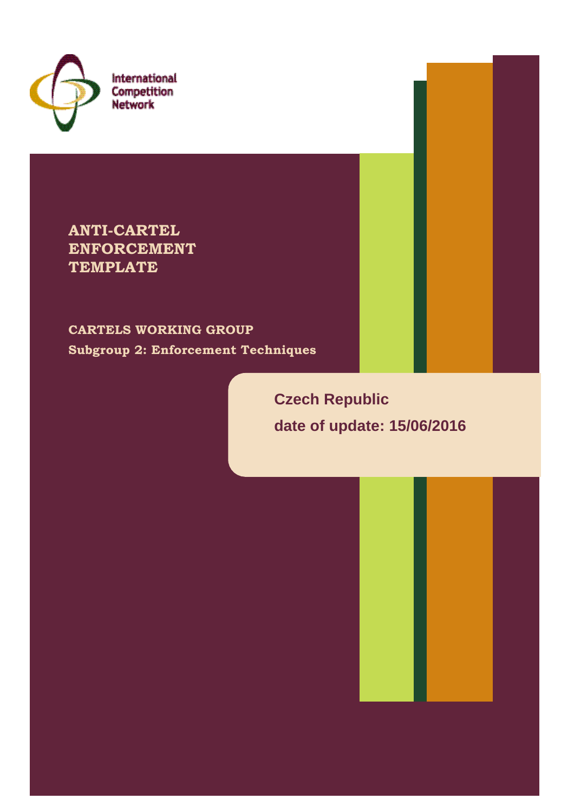

International Competition **Network** 

**ANTI-CARTEL ENFORCEMENT TEMPLATE**

**CARTELS WORKING GROUP Subgroup 2: Enforcement Techniques**

> **Czech Republic date of update: 15/06/2016**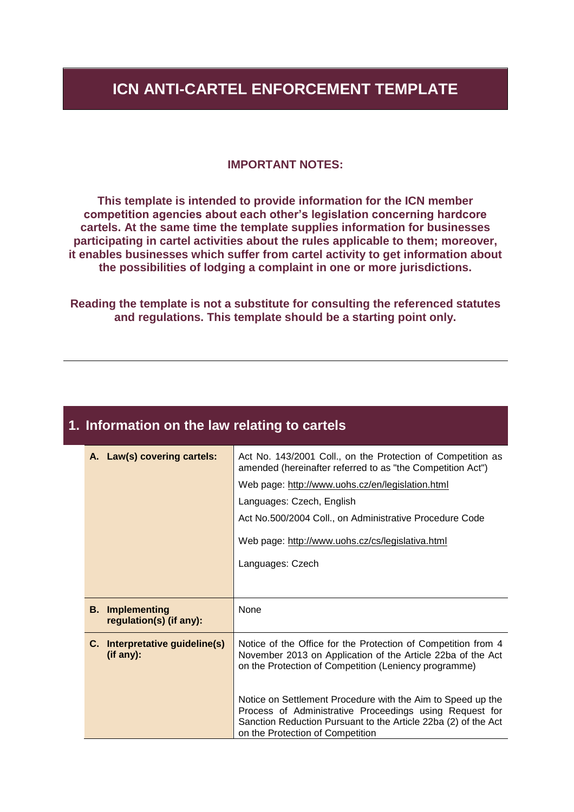#### **ICN ANTI-CARTEL ENFORCEMENT TEMPLATE**

#### **IMPORTANT NOTES:**

**This template is intended to provide information for the ICN member competition agencies about each other's legislation concerning hardcore cartels. At the same time the template supplies information for businesses participating in cartel activities about the rules applicable to them; moreover, it enables businesses which suffer from cartel activity to get information about the possibilities of lodging a complaint in one or more jurisdictions.**

**Reading the template is not a substitute for consulting the referenced statutes and regulations. This template should be a starting point only.**

#### **1. Information on the law relating to cartels**

|    | A. Law(s) covering cartels:                       | Act No. 143/2001 Coll., on the Protection of Competition as<br>amended (hereinafter referred to as "the Competition Act")                                                                                                    |
|----|---------------------------------------------------|------------------------------------------------------------------------------------------------------------------------------------------------------------------------------------------------------------------------------|
|    |                                                   | Web page: http://www.uohs.cz/en/legislation.html                                                                                                                                                                             |
|    |                                                   | Languages: Czech, English                                                                                                                                                                                                    |
|    |                                                   | Act No.500/2004 Coll., on Administrative Procedure Code                                                                                                                                                                      |
|    |                                                   | Web page: http://www.uohs.cz/cs/legislativa.html                                                                                                                                                                             |
|    |                                                   | Languages: Czech                                                                                                                                                                                                             |
|    |                                                   |                                                                                                                                                                                                                              |
|    | <b>B.</b> Implementing<br>regulation(s) (if any): | None                                                                                                                                                                                                                         |
| C. | Interpretative guideline(s)<br>(if any):          | Notice of the Office for the Protection of Competition from 4<br>November 2013 on Application of the Article 22ba of the Act<br>on the Protection of Competition (Leniency programme)                                        |
|    |                                                   | Notice on Settlement Procedure with the Aim to Speed up the<br>Process of Administrative Proceedings using Request for<br>Sanction Reduction Pursuant to the Article 22ba (2) of the Act<br>on the Protection of Competition |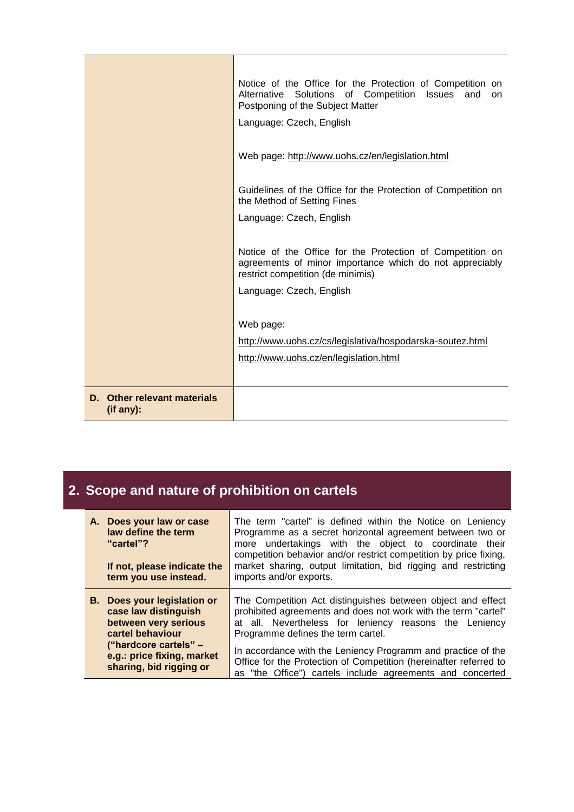|                                          | Notice of the Office for the Protection of Competition on<br>Alternative Solutions of Competition Issues<br>and<br>on.<br>Postponing of the Subject Matter<br>Language: Czech, English<br>Web page: http://www.uohs.cz/en/legislation.html |
|------------------------------------------|--------------------------------------------------------------------------------------------------------------------------------------------------------------------------------------------------------------------------------------------|
|                                          | Guidelines of the Office for the Protection of Competition on<br>the Method of Setting Fines<br>Language: Czech, English                                                                                                                   |
|                                          | Notice of the Office for the Protection of Competition on<br>agreements of minor importance which do not appreciably<br>restrict competition (de minimis)                                                                                  |
|                                          | Language: Czech, English                                                                                                                                                                                                                   |
|                                          | Web page:                                                                                                                                                                                                                                  |
|                                          | http://www.uohs.cz/cs/legislativa/hospodarska-soutez.html<br>http://www.uohs.cz/en/legislation.html                                                                                                                                        |
|                                          |                                                                                                                                                                                                                                            |
| D. Other relevant materials<br>(if any): |                                                                                                                                                                                                                                            |

## **2. Scope and nature of prohibition on cartels**

| A. Does your law or case<br>law define the term<br>"cartel"?<br>If not, please indicate the<br>term you use instead.                                                                     | The term "cartel" is defined within the Notice on Leniency<br>Programme as a secret horizontal agreement between two or<br>undertakings with the object to coordinate their<br>more<br>competition behavior and/or restrict competition by price fixing,<br>market sharing, output limitation, bid rigging and restricting<br>imports and/or exports.                                                                           |
|------------------------------------------------------------------------------------------------------------------------------------------------------------------------------------------|---------------------------------------------------------------------------------------------------------------------------------------------------------------------------------------------------------------------------------------------------------------------------------------------------------------------------------------------------------------------------------------------------------------------------------|
| <b>B.</b> Does your legislation or<br>case law distinguish<br>between very serious<br>cartel behaviour<br>("hardcore cartels" –<br>e.g.: price fixing, market<br>sharing, bid rigging or | The Competition Act distinguishes between object and effect<br>prohibited agreements and does not work with the term "cartel"<br>at all. Nevertheless for leniency reasons the Leniency<br>Programme defines the term cartel.<br>In accordance with the Leniency Programm and practice of the<br>Office for the Protection of Competition (hereinafter referred to<br>as "the Office") cartels include agreements and concerted |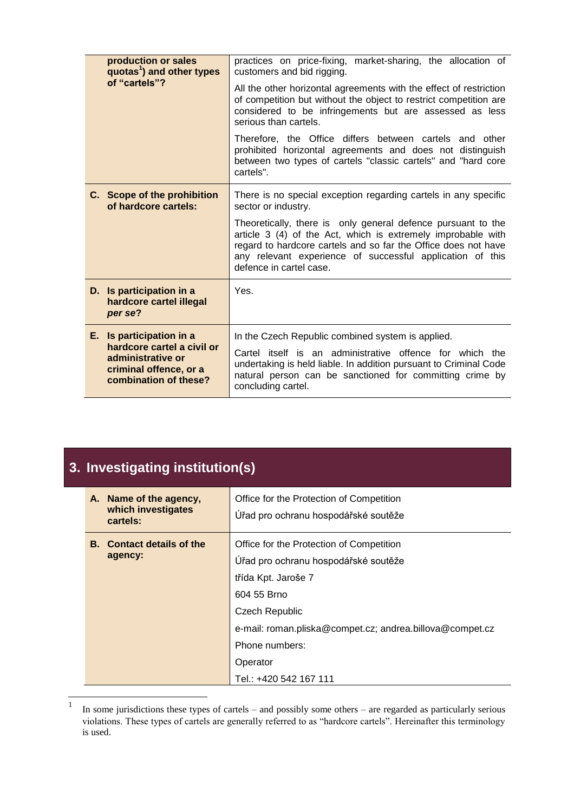|      | production or sales<br>quotas <sup>1</sup> ) and other types                                       | practices on price-fixing, market-sharing, the allocation of<br>customers and bid rigging.                                                                                                                                                                                             |
|------|----------------------------------------------------------------------------------------------------|----------------------------------------------------------------------------------------------------------------------------------------------------------------------------------------------------------------------------------------------------------------------------------------|
|      | of "cartels"?                                                                                      | All the other horizontal agreements with the effect of restriction<br>of competition but without the object to restrict competition are<br>considered to be infringements but are assessed as less<br>serious than cartels.                                                            |
|      |                                                                                                    | Therefore, the Office differs between cartels and other<br>prohibited horizontal agreements and does not distinguish<br>between two types of cartels "classic cartels" and "hard core<br>cartels".                                                                                     |
|      | C. Scope of the prohibition<br>of hardcore cartels:                                                | There is no special exception regarding cartels in any specific<br>sector or industry.                                                                                                                                                                                                 |
|      |                                                                                                    | Theoretically, there is only general defence pursuant to the<br>article 3 (4) of the Act, which is extremely improbable with<br>regard to hardcore cartels and so far the Office does not have<br>any relevant experience of successful application of this<br>defence in cartel case. |
|      | D. Is participation in a<br>hardcore cartel illegal<br>per se?                                     | Yes.                                                                                                                                                                                                                                                                                   |
| E. . | Is participation in a                                                                              | In the Czech Republic combined system is applied.                                                                                                                                                                                                                                      |
|      | hardcore cartel a civil or<br>administrative or<br>criminal offence, or a<br>combination of these? | Cartel itself is an administrative offence for which the<br>undertaking is held liable. In addition pursuant to Criminal Code<br>natural person can be sanctioned for committing crime by<br>concluding cartel.                                                                        |

### **3. Investigating institution(s)**

| A. Name of the agency,<br>which investigates<br>cartels: | Office for the Protection of Competition<br>Úřad pro ochranu hospodářské soutěže                                 |
|----------------------------------------------------------|------------------------------------------------------------------------------------------------------------------|
| <b>B.</b> Contact details of the<br>agency:              | Office for the Protection of Competition<br>Úřad pro ochranu hospodářské soutěže<br>třída Kpt. Jaroše 7          |
|                                                          | 604 55 Brno<br>Czech Republic                                                                                    |
|                                                          | e-mail: roman.pliska@compet.cz; andrea.billova@compet.cz<br>Phone numbers:<br>Operator<br>Tel.: +420 542 167 111 |

 $\frac{1}{1}$ In some jurisdictions these types of cartels – and possibly some others – are regarded as particularly serious violations. These types of cartels are generally referred to as "hardcore cartels". Hereinafter this terminology is used.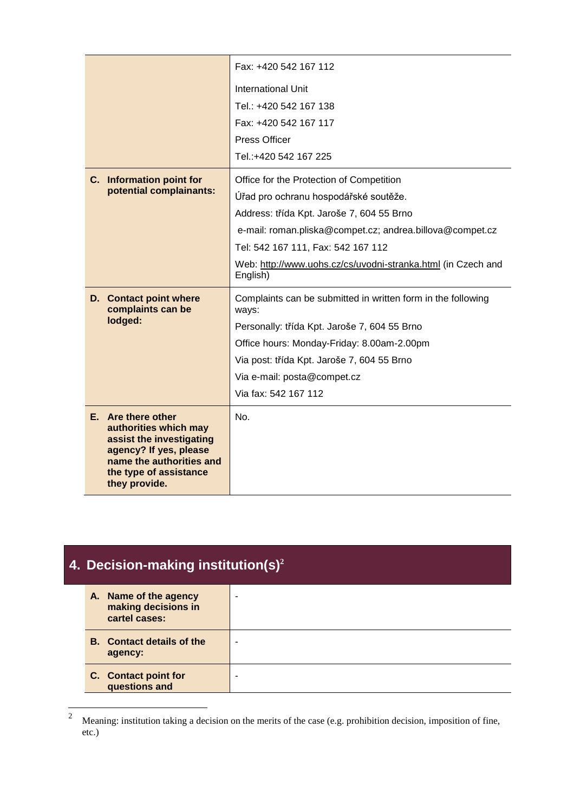|                                                                                                                                                                          | Fax: +420 542 167 112                                                    |
|--------------------------------------------------------------------------------------------------------------------------------------------------------------------------|--------------------------------------------------------------------------|
|                                                                                                                                                                          | International Unit                                                       |
|                                                                                                                                                                          | Tel.: +420 542 167 138                                                   |
|                                                                                                                                                                          | Fax: +420 542 167 117                                                    |
|                                                                                                                                                                          | Press Officer                                                            |
|                                                                                                                                                                          | Tel.:+420 542 167 225                                                    |
| C. Information point for                                                                                                                                                 | Office for the Protection of Competition                                 |
| potential complainants:                                                                                                                                                  | Úřad pro ochranu hospodářské soutěže.                                    |
|                                                                                                                                                                          | Address: třída Kpt. Jaroše 7, 604 55 Brno                                |
|                                                                                                                                                                          | e-mail: roman.pliska@compet.cz; andrea.billova@compet.cz                 |
|                                                                                                                                                                          | Tel: 542 167 111, Fax: 542 167 112                                       |
|                                                                                                                                                                          | Web: http://www.uohs.cz/cs/uvodni-stranka.html (in Czech and<br>English) |
| <b>D.</b> Contact point where<br>complaints can be                                                                                                                       | Complaints can be submitted in written form in the following<br>ways:    |
| lodged:                                                                                                                                                                  | Personally: třída Kpt. Jaroše 7, 604 55 Brno                             |
|                                                                                                                                                                          | Office hours: Monday-Friday: 8.00am-2.00pm                               |
|                                                                                                                                                                          | Via post: třída Kpt. Jaroše 7, 604 55 Brno                               |
|                                                                                                                                                                          | Via e-mail: posta@compet.cz                                              |
|                                                                                                                                                                          | Via fax: 542 167 112                                                     |
| E. Are there other<br>authorities which may<br>assist the investigating<br>agency? If yes, please<br>name the authorities and<br>the type of assistance<br>they provide. | No.                                                                      |

| 4. Decision-making institution(s) <sup>2</sup>                |                |
|---------------------------------------------------------------|----------------|
| A. Name of the agency<br>making decisions in<br>cartel cases: | $\blacksquare$ |
| <b>B.</b> Contact details of the<br>agency:                   |                |
| C. Contact point for<br>questions and                         | ۰              |

 $\sqrt{2}$ <sup>2</sup> Meaning: institution taking a decision on the merits of the case (e.g. prohibition decision, imposition of fine, etc.)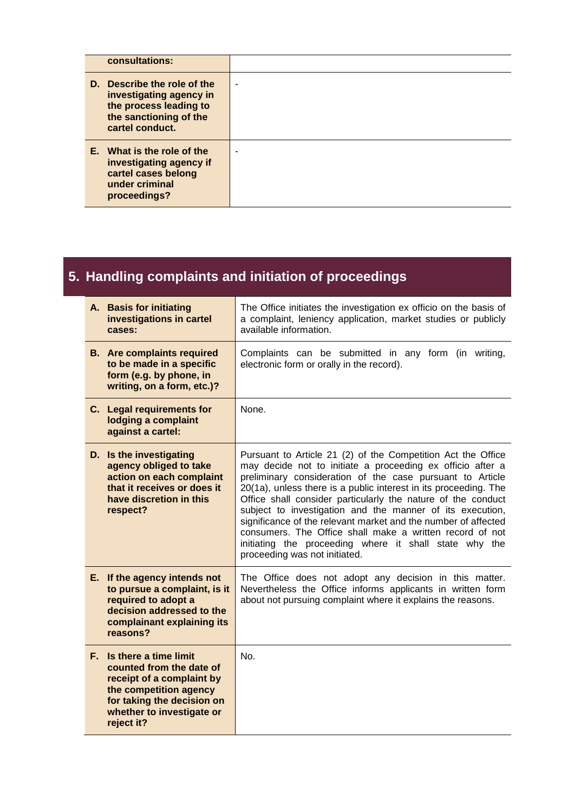| consultations:                                                                                                                |                |
|-------------------------------------------------------------------------------------------------------------------------------|----------------|
| D. Describe the role of the<br>investigating agency in<br>the process leading to<br>the sanctioning of the<br>cartel conduct. | $\blacksquare$ |
| E. What is the role of the<br>investigating agency if<br>cartel cases belong<br>under criminal<br>proceedings?                | $\blacksquare$ |

# **5. Handling complaints and initiation of proceedings**

| A. Basis for initiating<br>investigations in cartel<br>cases:                                                                                                                        | The Office initiates the investigation ex officio on the basis of<br>a complaint, leniency application, market studies or publicly<br>available information.                                                                                                                                                                                                                                                                                                                                                                                                                                                      |
|--------------------------------------------------------------------------------------------------------------------------------------------------------------------------------------|-------------------------------------------------------------------------------------------------------------------------------------------------------------------------------------------------------------------------------------------------------------------------------------------------------------------------------------------------------------------------------------------------------------------------------------------------------------------------------------------------------------------------------------------------------------------------------------------------------------------|
| <b>B.</b> Are complaints required<br>to be made in a specific<br>form (e.g. by phone, in<br>writing, on a form, etc.)?                                                               | Complaints can be submitted in any form (in writing,<br>electronic form or orally in the record).                                                                                                                                                                                                                                                                                                                                                                                                                                                                                                                 |
| C. Legal requirements for<br>lodging a complaint<br>against a cartel:                                                                                                                | None.                                                                                                                                                                                                                                                                                                                                                                                                                                                                                                                                                                                                             |
| D. Is the investigating<br>agency obliged to take<br>action on each complaint<br>that it receives or does it<br>have discretion in this<br>respect?                                  | Pursuant to Article 21 (2) of the Competition Act the Office<br>may decide not to initiate a proceeding ex officio after a<br>preliminary consideration of the case pursuant to Article<br>20(1a), unless there is a public interest in its proceeding. The<br>Office shall consider particularly the nature of the conduct<br>subject to investigation and the manner of its execution,<br>significance of the relevant market and the number of affected<br>consumers. The Office shall make a written record of not<br>initiating the proceeding where it shall state why the<br>proceeding was not initiated. |
| E. If the agency intends not<br>to pursue a complaint, is it<br>required to adopt a<br>decision addressed to the<br>complainant explaining its<br>reasons?                           | The Office does not adopt any decision in this matter.<br>Nevertheless the Office informs applicants in written form<br>about not pursuing complaint where it explains the reasons.                                                                                                                                                                                                                                                                                                                                                                                                                               |
| F. Is there a time limit<br>counted from the date of<br>receipt of a complaint by<br>the competition agency<br>for taking the decision on<br>whether to investigate or<br>reject it? | No.                                                                                                                                                                                                                                                                                                                                                                                                                                                                                                                                                                                                               |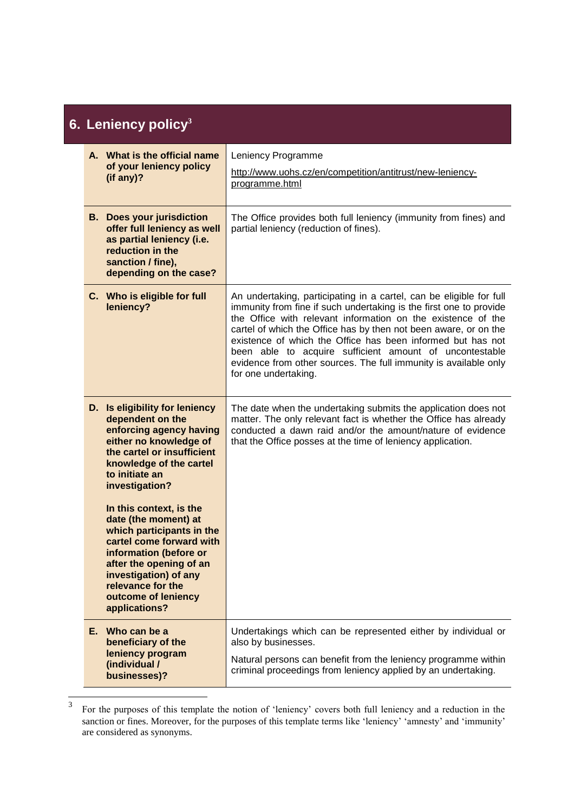## **6. Leniency policy<sup>3</sup>**

|    | A. What is the official name<br>of your leniency policy<br>(if any)?                                                                                                                                                                                | Leniency Programme<br>http://www.uohs.cz/en/competition/antitrust/new-leniency-<br>programme.html                                                                                                                                                                                                                                                                                                                                                                                                   |
|----|-----------------------------------------------------------------------------------------------------------------------------------------------------------------------------------------------------------------------------------------------------|-----------------------------------------------------------------------------------------------------------------------------------------------------------------------------------------------------------------------------------------------------------------------------------------------------------------------------------------------------------------------------------------------------------------------------------------------------------------------------------------------------|
|    | <b>B.</b> Does your jurisdiction<br>offer full leniency as well<br>as partial leniency (i.e.<br>reduction in the<br>sanction / fine),<br>depending on the case?                                                                                     | The Office provides both full leniency (immunity from fines) and<br>partial leniency (reduction of fines).                                                                                                                                                                                                                                                                                                                                                                                          |
|    | C. Who is eligible for full<br>leniency?                                                                                                                                                                                                            | An undertaking, participating in a cartel, can be eligible for full<br>immunity from fine if such undertaking is the first one to provide<br>the Office with relevant information on the existence of the<br>cartel of which the Office has by then not been aware, or on the<br>existence of which the Office has been informed but has not<br>been able to acquire sufficient amount of uncontestable<br>evidence from other sources. The full immunity is available only<br>for one undertaking. |
| D. | Is eligibility for leniency<br>dependent on the<br>enforcing agency having<br>either no knowledge of<br>the cartel or insufficient<br>knowledge of the cartel<br>to initiate an<br>investigation?                                                   | The date when the undertaking submits the application does not<br>matter. The only relevant fact is whether the Office has already<br>conducted a dawn raid and/or the amount/nature of evidence<br>that the Office posses at the time of leniency application.                                                                                                                                                                                                                                     |
|    | In this context, is the<br>date (the moment) at<br>which participants in the<br>cartel come forward with<br>information (before or<br>after the opening of an<br>investigation) of any<br>relevance for the<br>outcome of leniency<br>applications? |                                                                                                                                                                                                                                                                                                                                                                                                                                                                                                     |
|    | E. Who can be a<br>beneficiary of the<br>leniency program<br>(individual /<br>businesses)?                                                                                                                                                          | Undertakings which can be represented either by individual or<br>also by businesses.<br>Natural persons can benefit from the leniency programme within<br>criminal proceedings from leniency applied by an undertaking.                                                                                                                                                                                                                                                                             |

 $\frac{1}{3}$ For the purposes of this template the notion of 'leniency' covers both full leniency and a reduction in the sanction or fines. Moreover, for the purposes of this template terms like 'leniency' 'amnesty' and 'immunity' are considered as synonyms.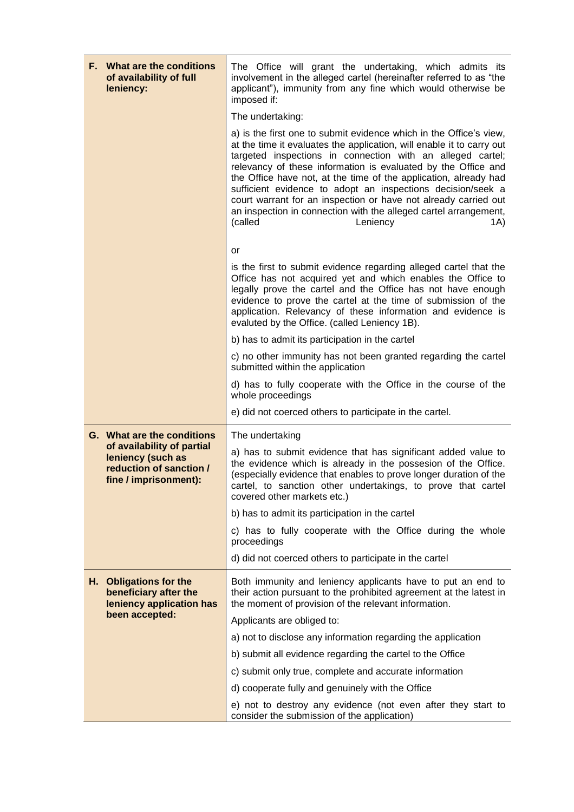| F. What are the conditions<br>of availability of full<br>leniency:                                                                | The Office will grant the undertaking, which admits its<br>involvement in the alleged cartel (hereinafter referred to as "the<br>applicant"), immunity from any fine which would otherwise be<br>imposed if:                                                                                                                                                                                                                                                                                                                                                                       |
|-----------------------------------------------------------------------------------------------------------------------------------|------------------------------------------------------------------------------------------------------------------------------------------------------------------------------------------------------------------------------------------------------------------------------------------------------------------------------------------------------------------------------------------------------------------------------------------------------------------------------------------------------------------------------------------------------------------------------------|
|                                                                                                                                   | The undertaking:                                                                                                                                                                                                                                                                                                                                                                                                                                                                                                                                                                   |
|                                                                                                                                   | a) is the first one to submit evidence which in the Office's view,<br>at the time it evaluates the application, will enable it to carry out<br>targeted inspections in connection with an alleged cartel;<br>relevancy of these information is evaluated by the Office and<br>the Office have not, at the time of the application, already had<br>sufficient evidence to adopt an inspections decision/seek a<br>court warrant for an inspection or have not already carried out<br>an inspection in connection with the alleged cartel arrangement,<br>(called<br>Leniency<br>1A) |
|                                                                                                                                   | or                                                                                                                                                                                                                                                                                                                                                                                                                                                                                                                                                                                 |
|                                                                                                                                   | is the first to submit evidence regarding alleged cartel that the<br>Office has not acquired yet and which enables the Office to<br>legally prove the cartel and the Office has not have enough<br>evidence to prove the cartel at the time of submission of the<br>application. Relevancy of these information and evidence is<br>evaluted by the Office. (called Leniency 1B).                                                                                                                                                                                                   |
|                                                                                                                                   | b) has to admit its participation in the cartel                                                                                                                                                                                                                                                                                                                                                                                                                                                                                                                                    |
|                                                                                                                                   | c) no other immunity has not been granted regarding the cartel<br>submitted within the application                                                                                                                                                                                                                                                                                                                                                                                                                                                                                 |
|                                                                                                                                   | d) has to fully cooperate with the Office in the course of the<br>whole proceedings                                                                                                                                                                                                                                                                                                                                                                                                                                                                                                |
|                                                                                                                                   | e) did not coerced others to participate in the cartel.                                                                                                                                                                                                                                                                                                                                                                                                                                                                                                                            |
| G. What are the conditions<br>of availability of partial<br>leniency (such as<br>reduction of sanction /<br>fine / imprisonment): | The undertaking<br>a) has to submit evidence that has significant added value to<br>the evidence which is already in the possesion of the Office.<br>(especially evidence that enables to prove longer duration of the<br>cartel, to sanction other undertakings, to prove that cartel                                                                                                                                                                                                                                                                                             |
|                                                                                                                                   | covered other markets etc.)                                                                                                                                                                                                                                                                                                                                                                                                                                                                                                                                                        |
|                                                                                                                                   | b) has to admit its participation in the cartel                                                                                                                                                                                                                                                                                                                                                                                                                                                                                                                                    |
|                                                                                                                                   | c) has to fully cooperate with the Office during the whole<br>proceedings                                                                                                                                                                                                                                                                                                                                                                                                                                                                                                          |
|                                                                                                                                   | d) did not coerced others to participate in the cartel                                                                                                                                                                                                                                                                                                                                                                                                                                                                                                                             |
| H. Obligations for the<br>beneficiary after the<br>leniency application has                                                       | Both immunity and leniency applicants have to put an end to<br>their action pursuant to the prohibited agreement at the latest in<br>the moment of provision of the relevant information.                                                                                                                                                                                                                                                                                                                                                                                          |
| been accepted:                                                                                                                    | Applicants are obliged to:                                                                                                                                                                                                                                                                                                                                                                                                                                                                                                                                                         |
|                                                                                                                                   | a) not to disclose any information regarding the application                                                                                                                                                                                                                                                                                                                                                                                                                                                                                                                       |
|                                                                                                                                   | b) submit all evidence regarding the cartel to the Office                                                                                                                                                                                                                                                                                                                                                                                                                                                                                                                          |
|                                                                                                                                   | c) submit only true, complete and accurate information                                                                                                                                                                                                                                                                                                                                                                                                                                                                                                                             |
|                                                                                                                                   | d) cooperate fully and genuinely with the Office                                                                                                                                                                                                                                                                                                                                                                                                                                                                                                                                   |
|                                                                                                                                   | e) not to destroy any evidence (not even after they start to<br>consider the submission of the application)                                                                                                                                                                                                                                                                                                                                                                                                                                                                        |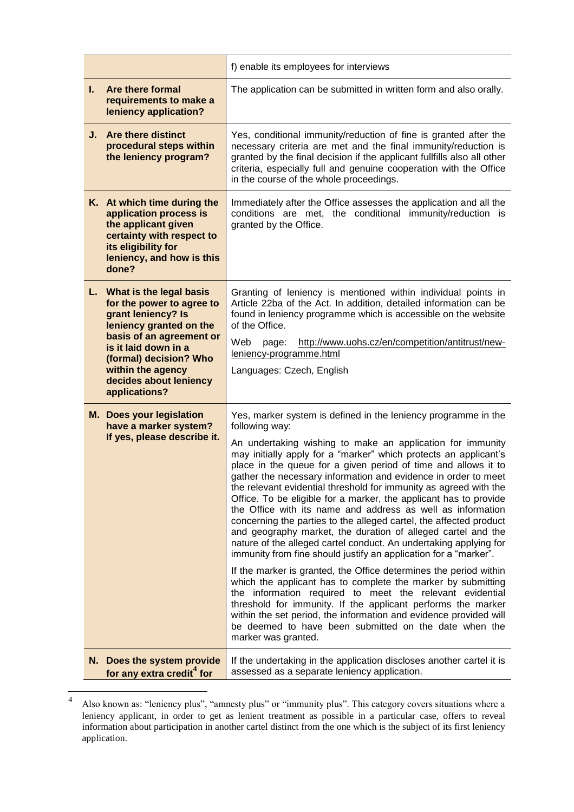|    |                                                                                                                                                                                                                                                        | f) enable its employees for interviews                                                                                                                                                                                                                                                                                                                                                                                                                                                                                                                                                                                                                                                                                                                                                                                                                                                                                                                                                                                                                                                                                                                                                                                                                               |
|----|--------------------------------------------------------------------------------------------------------------------------------------------------------------------------------------------------------------------------------------------------------|----------------------------------------------------------------------------------------------------------------------------------------------------------------------------------------------------------------------------------------------------------------------------------------------------------------------------------------------------------------------------------------------------------------------------------------------------------------------------------------------------------------------------------------------------------------------------------------------------------------------------------------------------------------------------------------------------------------------------------------------------------------------------------------------------------------------------------------------------------------------------------------------------------------------------------------------------------------------------------------------------------------------------------------------------------------------------------------------------------------------------------------------------------------------------------------------------------------------------------------------------------------------|
| L. | Are there formal<br>requirements to make a<br>leniency application?                                                                                                                                                                                    | The application can be submitted in written form and also orally.                                                                                                                                                                                                                                                                                                                                                                                                                                                                                                                                                                                                                                                                                                                                                                                                                                                                                                                                                                                                                                                                                                                                                                                                    |
|    | J. Are there distinct<br>procedural steps within<br>the leniency program?                                                                                                                                                                              | Yes, conditional immunity/reduction of fine is granted after the<br>necessary criteria are met and the final immunity/reduction is<br>granted by the final decision if the applicant fullfills also all other<br>criteria, especially full and genuine cooperation with the Office<br>in the course of the whole proceedings.                                                                                                                                                                                                                                                                                                                                                                                                                                                                                                                                                                                                                                                                                                                                                                                                                                                                                                                                        |
|    | K. At which time during the<br>application process is<br>the applicant given<br>certainty with respect to<br>its eligibility for<br>leniency, and how is this<br>done?                                                                                 | Immediately after the Office assesses the application and all the<br>conditions are met, the conditional immunity/reduction is<br>granted by the Office.                                                                                                                                                                                                                                                                                                                                                                                                                                                                                                                                                                                                                                                                                                                                                                                                                                                                                                                                                                                                                                                                                                             |
|    | L. What is the legal basis<br>for the power to agree to<br>grant leniency? Is<br>leniency granted on the<br>basis of an agreement or<br>is it laid down in a<br>(formal) decision? Who<br>within the agency<br>decides about leniency<br>applications? | Granting of leniency is mentioned within individual points in<br>Article 22ba of the Act. In addition, detailed information can be<br>found in leniency programme which is accessible on the website<br>of the Office.<br>http://www.uohs.cz/en/competition/antitrust/new-<br>Web<br>page:<br>leniency-programme.html<br>Languages: Czech, English                                                                                                                                                                                                                                                                                                                                                                                                                                                                                                                                                                                                                                                                                                                                                                                                                                                                                                                   |
|    | M. Does your legislation<br>have a marker system?<br>If yes, please describe it.                                                                                                                                                                       | Yes, marker system is defined in the leniency programme in the<br>following way:<br>An undertaking wishing to make an application for immunity<br>may initially apply for a "marker" which protects an applicant's<br>place in the queue for a given period of time and allows it to<br>gather the necessary information and evidence in order to meet<br>the relevant evidential threshold for immunity as agreed with the<br>Office. To be eligible for a marker, the applicant has to provide<br>the Office with its name and address as well as information<br>concerning the parties to the alleged cartel, the affected product<br>and geography market, the duration of alleged cartel and the<br>nature of the alleged cartel conduct. An undertaking applying for<br>immunity from fine should justify an application for a "marker".<br>If the marker is granted, the Office determines the period within<br>which the applicant has to complete the marker by submitting<br>the information required to meet the relevant evidential<br>threshold for immunity. If the applicant performs the marker<br>within the set period, the information and evidence provided will<br>be deemed to have been submitted on the date when the<br>marker was granted. |
|    | N. Does the system provide<br>for any extra credit <sup>4</sup> for                                                                                                                                                                                    | If the undertaking in the application discloses another cartel it is<br>assessed as a separate leniency application.                                                                                                                                                                                                                                                                                                                                                                                                                                                                                                                                                                                                                                                                                                                                                                                                                                                                                                                                                                                                                                                                                                                                                 |

 $\frac{1}{4}$ Also known as: "leniency plus", "amnesty plus" or "immunity plus". This category covers situations where a leniency applicant, in order to get as lenient treatment as possible in a particular case, offers to reveal information about participation in another cartel distinct from the one which is the subject of its first leniency application.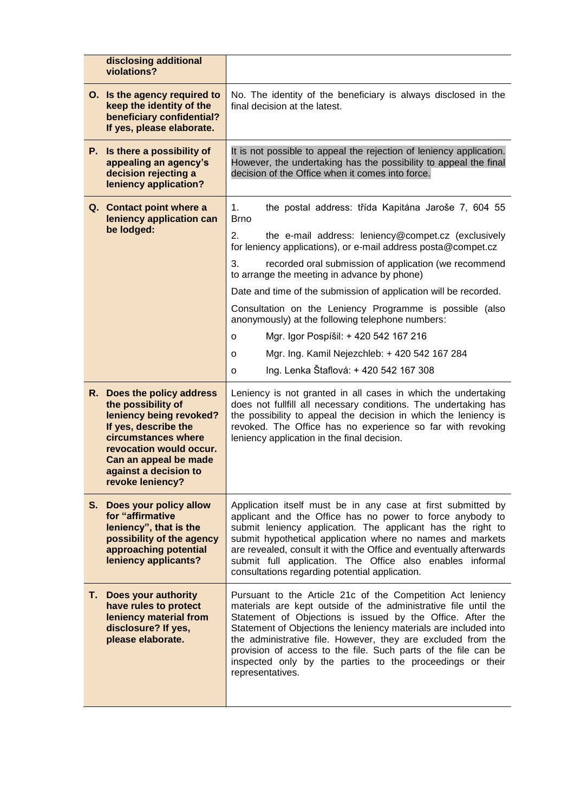| disclosing additional<br>violations?                                                                                                                                                                                        |                                                                                                                                                                                                                                                                                                                                                                                                                                                                                                                                                                                                                                                             |
|-----------------------------------------------------------------------------------------------------------------------------------------------------------------------------------------------------------------------------|-------------------------------------------------------------------------------------------------------------------------------------------------------------------------------------------------------------------------------------------------------------------------------------------------------------------------------------------------------------------------------------------------------------------------------------------------------------------------------------------------------------------------------------------------------------------------------------------------------------------------------------------------------------|
| O. Is the agency required to<br>keep the identity of the<br>beneficiary confidential?<br>If yes, please elaborate.                                                                                                          | No. The identity of the beneficiary is always disclosed in the<br>final decision at the latest.                                                                                                                                                                                                                                                                                                                                                                                                                                                                                                                                                             |
| P. Is there a possibility of<br>appealing an agency's<br>decision rejecting a<br>leniency application?                                                                                                                      | It is not possible to appeal the rejection of leniency application.<br>However, the undertaking has the possibility to appeal the final<br>decision of the Office when it comes into force.                                                                                                                                                                                                                                                                                                                                                                                                                                                                 |
| Q. Contact point where a<br>leniency application can<br>be lodged:                                                                                                                                                          | the postal address: třída Kapitána Jaroše 7, 604 55<br>1.<br><b>Brno</b><br>2.<br>the e-mail address: leniency@compet.cz (exclusively<br>for leniency applications), or e-mail address posta@compet.cz<br>3.<br>recorded oral submission of application (we recommend<br>to arrange the meeting in advance by phone)<br>Date and time of the submission of application will be recorded.<br>Consultation on the Leniency Programme is possible (also<br>anonymously) at the following telephone numbers:<br>Mgr. Igor Pospíšil: + 420 542 167 216<br>o<br>Mgr. Ing. Kamil Nejezchleb: + 420 542 167 284<br>o<br>Ing. Lenka Štaflová: + 420 542 167 308<br>o |
| R. Does the policy address<br>the possibility of<br>leniency being revoked?<br>If yes, describe the<br>circumstances where<br>revocation would occur.<br>Can an appeal be made<br>against a decision to<br>revoke leniency? | Leniency is not granted in all cases in which the undertaking<br>does not fullfill all necessary conditions. The undertaking has<br>the possibility to appeal the decision in which the leniency is<br>revoked. The Office has no experience so far with revoking<br>leniency application in the final decision.                                                                                                                                                                                                                                                                                                                                            |
| S. Does your policy allow<br>for "affirmative<br>leniency", that is the<br>possibility of the agency<br>approaching potential<br>leniency applicants?                                                                       | Application itself must be in any case at first submitted by<br>applicant and the Office has no power to force anybody to<br>submit leniency application. The applicant has the right to<br>submit hypothetical application where no names and markets<br>are revealed, consult it with the Office and eventually afterwards<br>submit full application. The Office also enables informal<br>consultations regarding potential application.                                                                                                                                                                                                                 |
| T. Does your authority<br>have rules to protect<br>leniency material from<br>disclosure? If yes,<br>please elaborate.                                                                                                       | Pursuant to the Article 21c of the Competition Act leniency<br>materials are kept outside of the administrative file until the<br>Statement of Objections is issued by the Office. After the<br>Statement of Objections the leniency materials are included into<br>the administrative file. However, they are excluded from the<br>provision of access to the file. Such parts of the file can be<br>inspected only by the parties to the proceedings or their<br>representatives.                                                                                                                                                                         |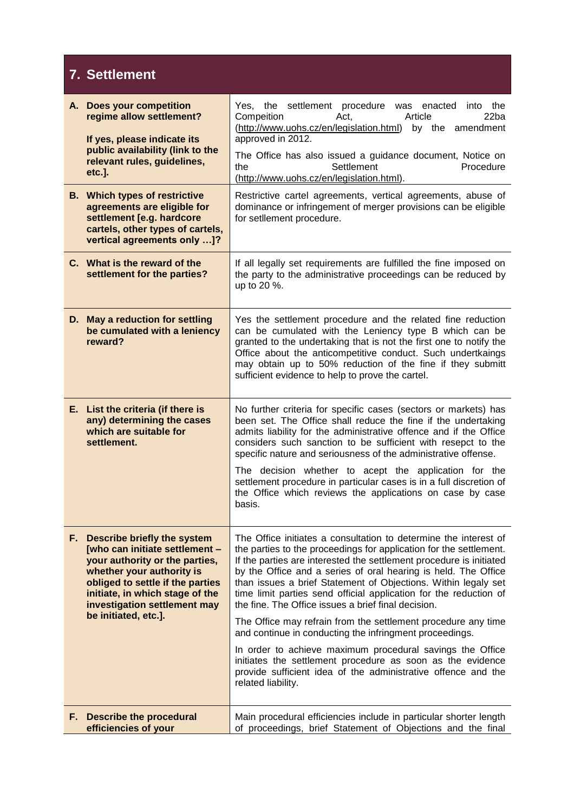### **7. Settlement**

| А. | <b>Does your competition</b><br>regime allow settlement?<br>If yes, please indicate its<br>public availability (link to the<br>relevant rules, guidelines,<br>etc.].                                                                                           | settlement procedure was<br>Yes. the<br>enacted into the<br>Compeition<br>Article<br>22ba<br>Act,<br>(http://www.uohs.cz/en/legislation.html)<br>by the amendment<br>approved in 2012.<br>The Office has also issued a guidance document, Notice on<br>Settlement<br>the<br>Procedure<br>(http://www.uohs.cz/en/legislation.html).                                                                                                                                                                                                                                                                                                                                     |
|----|----------------------------------------------------------------------------------------------------------------------------------------------------------------------------------------------------------------------------------------------------------------|------------------------------------------------------------------------------------------------------------------------------------------------------------------------------------------------------------------------------------------------------------------------------------------------------------------------------------------------------------------------------------------------------------------------------------------------------------------------------------------------------------------------------------------------------------------------------------------------------------------------------------------------------------------------|
|    | <b>B.</b> Which types of restrictive<br>agreements are eligible for<br>settlement [e.g. hardcore<br>cartels, other types of cartels,<br>vertical agreements only ]?                                                                                            | Restrictive cartel agreements, vertical agreements, abuse of<br>dominance or infringement of merger provisions can be eligible<br>for setllement procedure.                                                                                                                                                                                                                                                                                                                                                                                                                                                                                                            |
|    | C. What is the reward of the<br>settlement for the parties?                                                                                                                                                                                                    | If all legally set requirements are fulfilled the fine imposed on<br>the party to the administrative proceedings can be reduced by<br>up to 20 %.                                                                                                                                                                                                                                                                                                                                                                                                                                                                                                                      |
|    | D. May a reduction for settling<br>be cumulated with a leniency<br>reward?                                                                                                                                                                                     | Yes the settlement procedure and the related fine reduction<br>can be cumulated with the Leniency type B which can be<br>granted to the undertaking that is not the first one to notify the<br>Office about the anticompetitive conduct. Such undertkaings<br>may obtain up to 50% reduction of the fine if they submitt<br>sufficient evidence to help to prove the cartel.                                                                                                                                                                                                                                                                                           |
|    | E. List the criteria (if there is<br>any) determining the cases<br>which are suitable for<br>settlement.                                                                                                                                                       | No further criteria for specific cases (sectors or markets) has<br>been set. The Office shall reduce the fine if the undertaking<br>admits liability for the administrative offence and if the Office<br>considers such sanction to be sufficient with resepct to the<br>specific nature and seriousness of the administrative offense.<br>The decision whether to acept the application for the<br>settlement procedure in particular cases is in a full discretion of<br>the Office which reviews the applications on case by case<br>basis.                                                                                                                         |
|    | F. Describe briefly the system<br>[who can initiate settlement -<br>your authority or the parties,<br>whether your authority is<br>obliged to settle if the parties<br>initiate, in which stage of the<br>investigation settlement may<br>be initiated, etc.]. | The Office initiates a consultation to determine the interest of<br>the parties to the proceedings for application for the settlement.<br>If the parties are interested the settlement procedure is initiated<br>by the Office and a series of oral hearing is held. The Office<br>than issues a brief Statement of Objections. Within legaly set<br>time limit parties send official application for the reduction of<br>the fine. The Office issues a brief final decision.<br>The Office may refrain from the settlement procedure any time<br>and continue in conducting the infringment proceedings.<br>In order to achieve maximum procedural savings the Office |
|    |                                                                                                                                                                                                                                                                | initiates the settlement procedure as soon as the evidence<br>provide sufficient idea of the administrative offence and the<br>related liability.                                                                                                                                                                                                                                                                                                                                                                                                                                                                                                                      |
|    | F. Describe the procedural<br>efficiencies of your                                                                                                                                                                                                             | Main procedural efficiencies include in particular shorter length<br>of proceedings, brief Statement of Objections and the final                                                                                                                                                                                                                                                                                                                                                                                                                                                                                                                                       |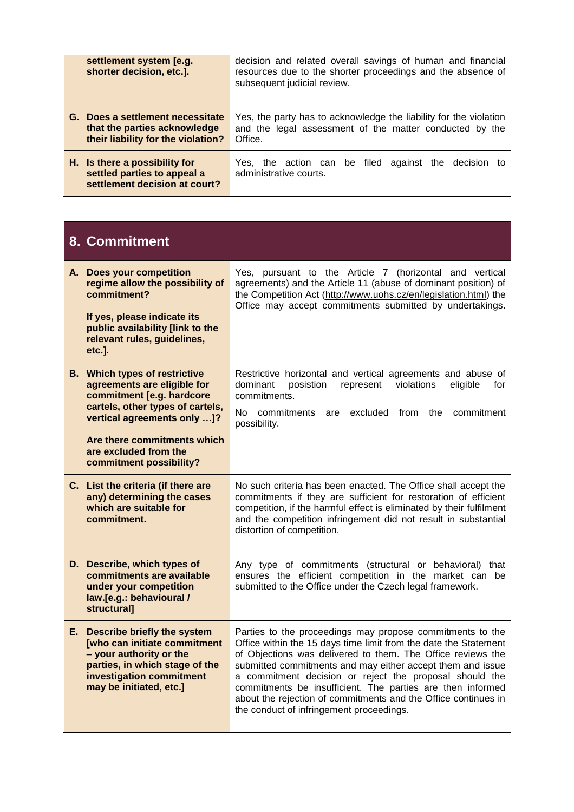| settlement system [e.g.<br>shorter decision, etc.].                                                    | decision and related overall savings of human and financial<br>resources due to the shorter proceedings and the absence of<br>subsequent judicial review. |
|--------------------------------------------------------------------------------------------------------|-----------------------------------------------------------------------------------------------------------------------------------------------------------|
| G. Does a settlement necessitate<br>that the parties acknowledge<br>their liability for the violation? | Yes, the party has to acknowledge the liability for the violation<br>and the legal assessment of the matter conducted by the<br>Office.                   |
| H. Is there a possibility for<br>settled parties to appeal a<br>settlement decision at court?          | Yes, the action can be filed against the decision to<br>administrative courts.                                                                            |

#### **8. Commitment**

| A. Does your competition<br>regime allow the possibility of<br>commitment?<br>If yes, please indicate its<br>public availability [link to the<br>relevant rules, guidelines,<br>etc.].                                                                 | Yes, pursuant to the Article 7 (horizontal and vertical<br>agreements) and the Article 11 (abuse of dominant position) of<br>the Competition Act (http://www.uohs.cz/en/legislation.html) the<br>Office may accept commitments submitted by undertakings.                                                                                                                                                                                                                                         |
|--------------------------------------------------------------------------------------------------------------------------------------------------------------------------------------------------------------------------------------------------------|---------------------------------------------------------------------------------------------------------------------------------------------------------------------------------------------------------------------------------------------------------------------------------------------------------------------------------------------------------------------------------------------------------------------------------------------------------------------------------------------------|
| <b>B.</b> Which types of restrictive<br>agreements are eligible for<br>commitment [e.g. hardcore<br>cartels, other types of cartels,<br>vertical agreements only ]?<br>Are there commitments which<br>are excluded from the<br>commitment possibility? | Restrictive horizontal and vertical agreements and abuse of<br>violations<br>dominant<br>posistion<br>represent<br>eligible<br>for<br>commitments.<br>No commitments<br>excluded<br>from<br>the<br>commitment<br>are<br>possibility.                                                                                                                                                                                                                                                              |
| C. List the criteria (if there are<br>any) determining the cases<br>which are suitable for<br>commitment.                                                                                                                                              | No such criteria has been enacted. The Office shall accept the<br>commitments if they are sufficient for restoration of efficient<br>competition, if the harmful effect is eliminated by their fulfilment<br>and the competition infringement did not result in substantial<br>distortion of competition.                                                                                                                                                                                         |
| D. Describe, which types of<br>commitments are available<br>under your competition<br>law.[e.g.: behavioural /<br>structural]                                                                                                                          | Any type of commitments (structural or behavioral) that<br>ensures the efficient competition in the market can be<br>submitted to the Office under the Czech legal framework.                                                                                                                                                                                                                                                                                                                     |
| E. Describe briefly the system<br><b>[who can initiate commitment</b><br>- your authority or the<br>parties, in which stage of the<br>investigation commitment<br>may be initiated, etc.]                                                              | Parties to the proceedings may propose commitments to the<br>Office within the 15 days time limit from the date the Statement<br>of Objections was delivered to them. The Office reviews the<br>submitted commitments and may either accept them and issue<br>a commitment decision or reject the proposal should the<br>commitments be insufficient. The parties are then informed<br>about the rejection of commitments and the Office continues in<br>the conduct of infringement proceedings. |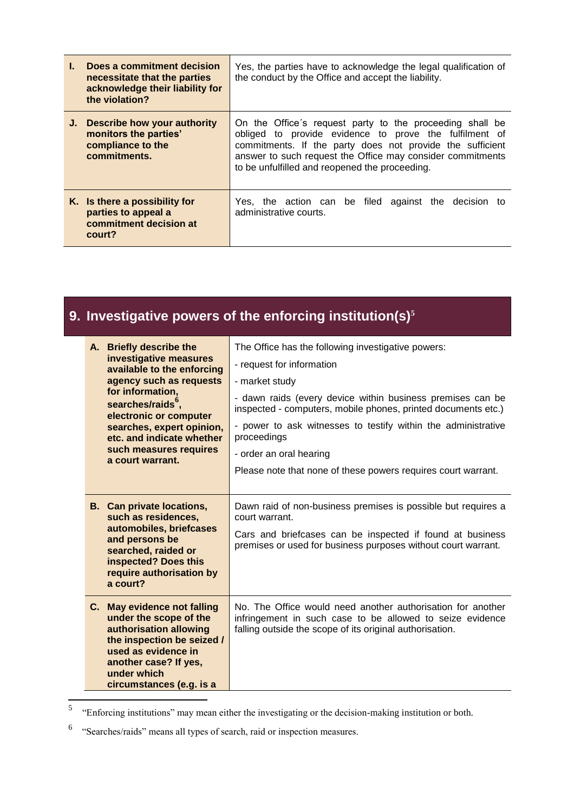| L. | Does a commitment decision<br>necessitate that the parties<br>acknowledge their liability for<br>the violation? | Yes, the parties have to acknowledge the legal qualification of<br>the conduct by the Office and accept the liability.                                                                                                                                                                          |
|----|-----------------------------------------------------------------------------------------------------------------|-------------------------------------------------------------------------------------------------------------------------------------------------------------------------------------------------------------------------------------------------------------------------------------------------|
|    | J. Describe how your authority<br>monitors the parties'<br>compliance to the<br>commitments.                    | On the Office's request party to the proceeding shall be<br>obliged to provide evidence to prove the fulfilment of<br>commitments. If the party does not provide the sufficient<br>answer to such request the Office may consider commitments<br>to be unfulfilled and reopened the proceeding. |
|    | K. Is there a possibility for<br>parties to appeal a<br>commitment decision at<br>court?                        | Yes, the action can be filed against the decision to<br>administrative courts.                                                                                                                                                                                                                  |

## **9. Investigative powers of the enforcing institution(s)<sup>5</sup>**

| A. Briefly describe the<br>investigative measures<br>available to the enforcing<br>agency such as requests<br>for information,<br>searches/raids <sup>°</sup> ,<br>electronic or computer<br>searches, expert opinion,<br>etc. and indicate whether<br>such measures requires<br>a court warrant. | The Office has the following investigative powers:<br>- request for information<br>- market study<br>- dawn raids (every device within business premises can be<br>inspected - computers, mobile phones, printed documents etc.)<br>- power to ask witnesses to testify within the administrative<br>proceedings<br>- order an oral hearing<br>Please note that none of these powers requires court warrant. |
|---------------------------------------------------------------------------------------------------------------------------------------------------------------------------------------------------------------------------------------------------------------------------------------------------|--------------------------------------------------------------------------------------------------------------------------------------------------------------------------------------------------------------------------------------------------------------------------------------------------------------------------------------------------------------------------------------------------------------|
|                                                                                                                                                                                                                                                                                                   |                                                                                                                                                                                                                                                                                                                                                                                                              |
| <b>B.</b> Can private locations,<br>such as residences,<br>automobiles, briefcases<br>and persons be<br>searched, raided or<br>inspected? Does this<br>require authorisation by<br>a court?                                                                                                       | Dawn raid of non-business premises is possible but requires a<br>court warrant.<br>Cars and briefcases can be inspected if found at business<br>premises or used for business purposes without court warrant.                                                                                                                                                                                                |
| C. May evidence not falling<br>under the scope of the<br>authorisation allowing<br>the inspection be seized /<br>used as evidence in<br>another case? If yes,<br>under which<br>circumstances (e.g. is a                                                                                          | No. The Office would need another authorisation for another<br>infringement in such case to be allowed to seize evidence<br>falling outside the scope of its original authorisation.                                                                                                                                                                                                                         |

 5 "Enforcing institutions" may mean either the investigating or the decision-making institution or both.

<sup>&</sup>lt;sup>6</sup> "Searches/raids" means all types of search, raid or inspection measures.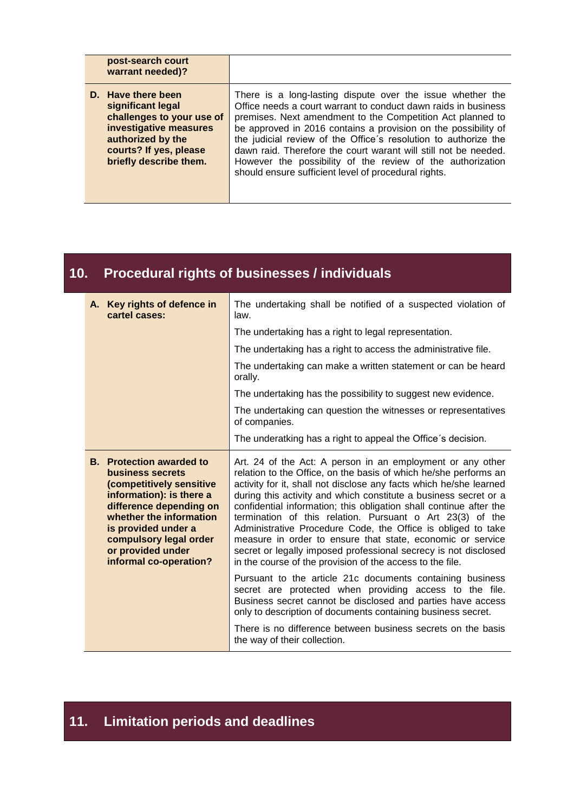| post-search court<br>warrant needed)?                                                                                                                                   |                                                                                                                                                                                                                                                                                                                                                                                                                                                                                                                          |
|-------------------------------------------------------------------------------------------------------------------------------------------------------------------------|--------------------------------------------------------------------------------------------------------------------------------------------------------------------------------------------------------------------------------------------------------------------------------------------------------------------------------------------------------------------------------------------------------------------------------------------------------------------------------------------------------------------------|
| D. Have there been<br>significant legal<br>challenges to your use of<br>investigative measures<br>authorized by the<br>courts? If yes, please<br>briefly describe them. | There is a long-lasting dispute over the issue whether the<br>Office needs a court warrant to conduct dawn raids in business<br>premises. Next amendment to the Competition Act planned to<br>be approved in 2016 contains a provision on the possibility of<br>the judicial review of the Office's resolution to authorize the<br>dawn raid. Therefore the court warant will still not be needed.<br>However the possibility of the review of the authorization<br>should ensure sufficient level of procedural rights. |

### **10. Procedural rights of businesses / individuals**

| A. Key rights of defence in<br>cartel cases:                                                                                                                                                                                                                      | The undertaking shall be notified of a suspected violation of<br>law.                                                                                                                                                                                                                                                                                                                                                                                                                                                                                                                                                                                                     |
|-------------------------------------------------------------------------------------------------------------------------------------------------------------------------------------------------------------------------------------------------------------------|---------------------------------------------------------------------------------------------------------------------------------------------------------------------------------------------------------------------------------------------------------------------------------------------------------------------------------------------------------------------------------------------------------------------------------------------------------------------------------------------------------------------------------------------------------------------------------------------------------------------------------------------------------------------------|
|                                                                                                                                                                                                                                                                   | The undertaking has a right to legal representation.                                                                                                                                                                                                                                                                                                                                                                                                                                                                                                                                                                                                                      |
|                                                                                                                                                                                                                                                                   | The undertaking has a right to access the administrative file.                                                                                                                                                                                                                                                                                                                                                                                                                                                                                                                                                                                                            |
|                                                                                                                                                                                                                                                                   | The undertaking can make a written statement or can be heard<br>orally.                                                                                                                                                                                                                                                                                                                                                                                                                                                                                                                                                                                                   |
|                                                                                                                                                                                                                                                                   | The undertaking has the possibility to suggest new evidence.                                                                                                                                                                                                                                                                                                                                                                                                                                                                                                                                                                                                              |
|                                                                                                                                                                                                                                                                   | The undertaking can question the witnesses or representatives<br>of companies.                                                                                                                                                                                                                                                                                                                                                                                                                                                                                                                                                                                            |
|                                                                                                                                                                                                                                                                   | The underatking has a right to appeal the Office's decision.                                                                                                                                                                                                                                                                                                                                                                                                                                                                                                                                                                                                              |
| <b>B.</b> Protection awarded to<br>business secrets<br>(competitively sensitive<br>information): is there a<br>difference depending on<br>whether the information<br>is provided under a<br>compulsory legal order<br>or provided under<br>informal co-operation? | Art. 24 of the Act: A person in an employment or any other<br>relation to the Office, on the basis of which he/she performs an<br>activity for it, shall not disclose any facts which he/she learned<br>during this activity and which constitute a business secret or a<br>confidential information; this obligation shall continue after the<br>termination of this relation. Pursuant o Art 23(3) of the<br>Administrative Procedure Code, the Office is obliged to take<br>measure in order to ensure that state, economic or service<br>secret or legally imposed professional secrecy is not disclosed<br>in the course of the provision of the access to the file. |
|                                                                                                                                                                                                                                                                   | Pursuant to the article 21c documents containing business<br>secret are protected when providing access to the file.<br>Business secret cannot be disclosed and parties have access<br>only to description of documents containing business secret.                                                                                                                                                                                                                                                                                                                                                                                                                       |
|                                                                                                                                                                                                                                                                   | There is no difference between business secrets on the basis<br>the way of their collection.                                                                                                                                                                                                                                                                                                                                                                                                                                                                                                                                                                              |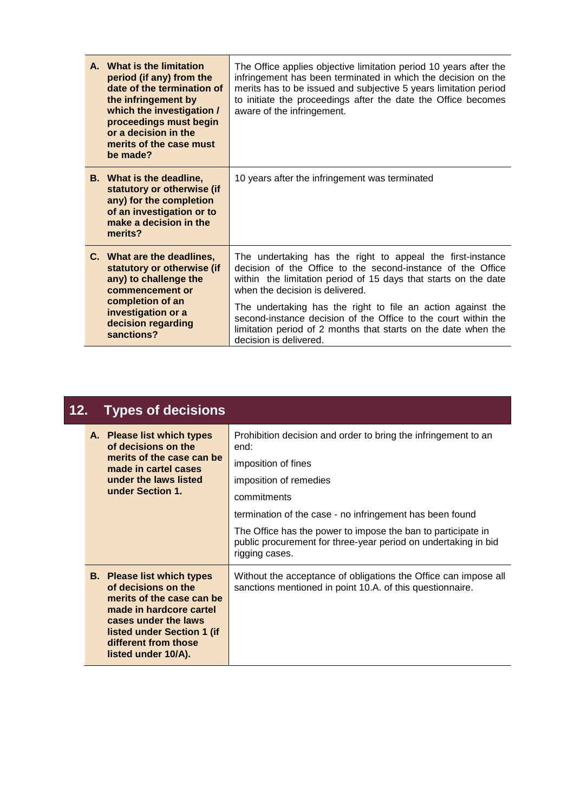| A. What is the limitation<br>period (if any) from the<br>date of the termination of<br>the infringement by<br>which the investigation /<br>proceedings must begin<br>or a decision in the<br>merits of the case must<br>be made? | The Office applies objective limitation period 10 years after the<br>infringement has been terminated in which the decision on the<br>merits has to be issued and subjective 5 years limitation period<br>to initiate the proceedings after the date the Office becomes<br>aware of the infringement. |
|----------------------------------------------------------------------------------------------------------------------------------------------------------------------------------------------------------------------------------|-------------------------------------------------------------------------------------------------------------------------------------------------------------------------------------------------------------------------------------------------------------------------------------------------------|
| <b>B.</b> What is the deadline,<br>statutory or otherwise (if<br>any) for the completion<br>of an investigation or to<br>make a decision in the<br>merits?                                                                       | 10 years after the infringement was terminated                                                                                                                                                                                                                                                        |
| C. What are the deadlines,<br>statutory or otherwise (if<br>any) to challenge the<br>commencement or                                                                                                                             | The undertaking has the right to appeal the first-instance<br>decision of the Office to the second-instance of the Office<br>within the limitation period of 15 days that starts on the date<br>when the decision is delivered.                                                                       |
| completion of an<br>investigation or a<br>decision regarding<br>sanctions?                                                                                                                                                       | The undertaking has the right to file an action against the<br>second-instance decision of the Office to the court within the<br>limitation period of 2 months that starts on the date when the<br>decision is delivered.                                                                             |

| 12. | <b>Types of decisions</b>                                                                                                                                                                                             |                                                                                                                                                                                                                                                                                                                                                        |
|-----|-----------------------------------------------------------------------------------------------------------------------------------------------------------------------------------------------------------------------|--------------------------------------------------------------------------------------------------------------------------------------------------------------------------------------------------------------------------------------------------------------------------------------------------------------------------------------------------------|
|     | A. Please list which types<br>of decisions on the<br>merits of the case can be<br>made in cartel cases<br>under the laws listed<br>under Section 1.                                                                   | Prohibition decision and order to bring the infringement to an<br>end:<br>imposition of fines<br>imposition of remedies<br>commitments<br>termination of the case - no infringement has been found<br>The Office has the power to impose the ban to participate in<br>public procurement for three-year period on undertaking in bid<br>rigging cases. |
|     | <b>B.</b> Please list which types<br>of decisions on the<br>merits of the case can be<br>made in hardcore cartel<br>cases under the laws<br>listed under Section 1 (if<br>different from those<br>listed under 10/A). | Without the acceptance of obligations the Office can impose all<br>sanctions mentioned in point 10.A. of this questionnaire.                                                                                                                                                                                                                           |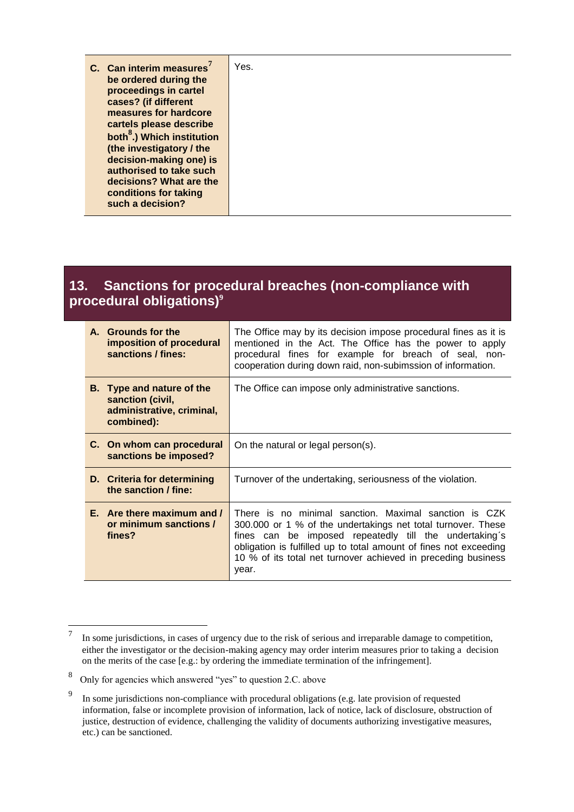| C. Can interim measures<br>be ordered during the<br>proceedings in cartel<br>cases? (if different<br>measures for hardcore<br>cartels please describe<br>both <sup>8</sup> .) Which institution<br>(the investigatory / the<br>decision-making one) is<br>authorised to take such<br>decisions? What are the<br>conditions for taking | Yes. |
|---------------------------------------------------------------------------------------------------------------------------------------------------------------------------------------------------------------------------------------------------------------------------------------------------------------------------------------|------|
| such a decision?                                                                                                                                                                                                                                                                                                                      |      |

#### **13. Sanctions for procedural breaches (non-compliance with procedural obligations)<sup>9</sup>**

| A. Grounds for the<br>imposition of procedural<br>sanctions / fines:                            | The Office may by its decision impose procedural fines as it is<br>mentioned in the Act. The Office has the power to apply<br>procedural fines for example for breach of seal, non-<br>cooperation during down raid, non-subimssion of information.                                                                            |
|-------------------------------------------------------------------------------------------------|--------------------------------------------------------------------------------------------------------------------------------------------------------------------------------------------------------------------------------------------------------------------------------------------------------------------------------|
| <b>B.</b> Type and nature of the<br>sanction (civil,<br>administrative, criminal,<br>combined): | The Office can impose only administrative sanctions.                                                                                                                                                                                                                                                                           |
| C. On whom can procedural<br>sanctions be imposed?                                              | On the natural or legal person(s).                                                                                                                                                                                                                                                                                             |
| D. Criteria for determining<br>the sanction / fine:                                             | Turnover of the undertaking, seriousness of the violation.                                                                                                                                                                                                                                                                     |
| E. Are there maximum and /<br>or minimum sanctions /<br>fines?                                  | There is no minimal sanction. Maximal sanction is CZK<br>300.000 or 1 % of the undertakings net total turnover. These<br>fines can be imposed repeatedly till the undertaking's<br>obligation is fulfilled up to total amount of fines not exceeding<br>10 % of its total net turnover achieved in preceding business<br>year. |

 7 In some jurisdictions, in cases of urgency due to the risk of serious and irreparable damage to competition, either the investigator or the decision-making agency may order interim measures prior to taking a decision on the merits of the case [e.g.: by ordering the immediate termination of the infringement].

<sup>8</sup> Only for agencies which answered "yes" to question 2.C. above

<sup>9</sup> In some jurisdictions non-compliance with procedural obligations (e.g. late provision of requested information, false or incomplete provision of information, lack of notice, lack of disclosure, obstruction of justice, destruction of evidence, challenging the validity of documents authorizing investigative measures, etc.) can be sanctioned.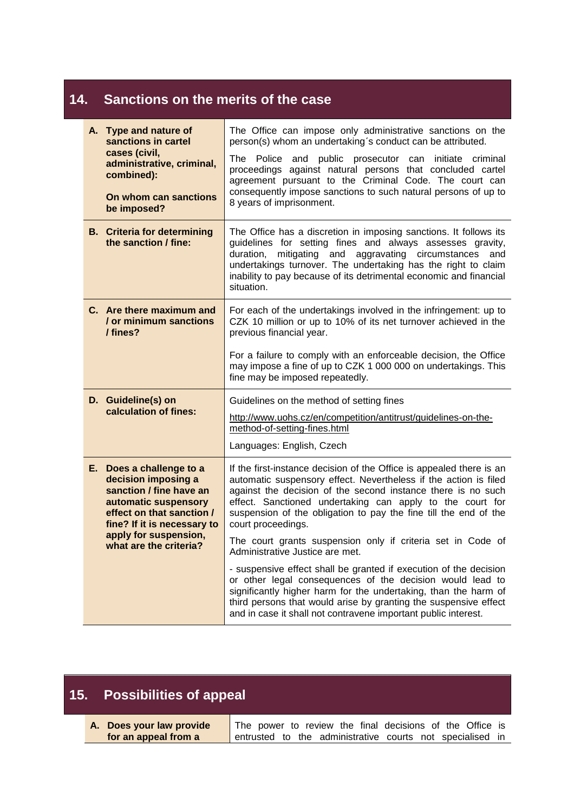### **14. Sanctions on the merits of the case**

| A. Type and nature of<br>sanctions in cartel<br>cases (civil,<br>administrative, criminal,<br>combined):<br>On whom can sanctions<br>be imposed?                                                                  | The Office can impose only administrative sanctions on the<br>person(s) whom an undertaking's conduct can be attributed.<br>The Police and public prosecutor can<br>initiate criminal<br>proceedings against natural persons that concluded cartel<br>agreement pursuant to the Criminal Code. The court can<br>consequently impose sanctions to such natural persons of up to<br>8 years of imprisonment.                                                        |  |  |  |
|-------------------------------------------------------------------------------------------------------------------------------------------------------------------------------------------------------------------|-------------------------------------------------------------------------------------------------------------------------------------------------------------------------------------------------------------------------------------------------------------------------------------------------------------------------------------------------------------------------------------------------------------------------------------------------------------------|--|--|--|
| <b>B.</b> Criteria for determining<br>the sanction / fine:                                                                                                                                                        | The Office has a discretion in imposing sanctions. It follows its<br>guidelines for setting fines and always assesses gravity,<br>mitigating and aggravating circumstances<br>duration,<br>and<br>undertakings turnover. The undertaking has the right to claim<br>inability to pay because of its detrimental economic and financial<br>situation.                                                                                                               |  |  |  |
| C. Are there maximum and<br>/ or minimum sanctions<br>/ fines?                                                                                                                                                    | For each of the undertakings involved in the infringement: up to<br>CZK 10 million or up to 10% of its net turnover achieved in the<br>previous financial year.<br>For a failure to comply with an enforceable decision, the Office<br>may impose a fine of up to CZK 1 000 000 on undertakings. This<br>fine may be imposed repeatedly.                                                                                                                          |  |  |  |
| D. Guideline(s) on<br>calculation of fines:                                                                                                                                                                       | Guidelines on the method of setting fines<br>http://www.uohs.cz/en/competition/antitrust/guidelines-on-the-<br>method-of-setting-fines.html<br>Languages: English, Czech                                                                                                                                                                                                                                                                                          |  |  |  |
| E. Does a challenge to a<br>decision imposing a<br>sanction / fine have an<br>automatic suspensory<br>effect on that sanction /<br>fine? If it is necessary to<br>apply for suspension,<br>what are the criteria? | If the first-instance decision of the Office is appealed there is an<br>automatic suspensory effect. Nevertheless if the action is filed<br>against the decision of the second instance there is no such<br>effect. Sanctioned undertaking can apply to the court for<br>suspension of the obligation to pay the fine till the end of the<br>court proceedings.<br>The court grants suspension only if criteria set in Code of<br>Administrative Justice are met. |  |  |  |
|                                                                                                                                                                                                                   | - suspensive effect shall be granted if execution of the decision<br>or other legal consequences of the decision would lead to<br>significantly higher harm for the undertaking, than the harm of<br>third persons that would arise by granting the suspensive effect<br>and in case it shall not contravene important public interest.                                                                                                                           |  |  |  |

### **15. Possibilities of appeal**

| A. Does your law provide | The power to review the final decisions of the Office is  |  |  |  |  |  |
|--------------------------|-----------------------------------------------------------|--|--|--|--|--|
| for an appeal from a     | entrusted to the administrative courts not specialised in |  |  |  |  |  |